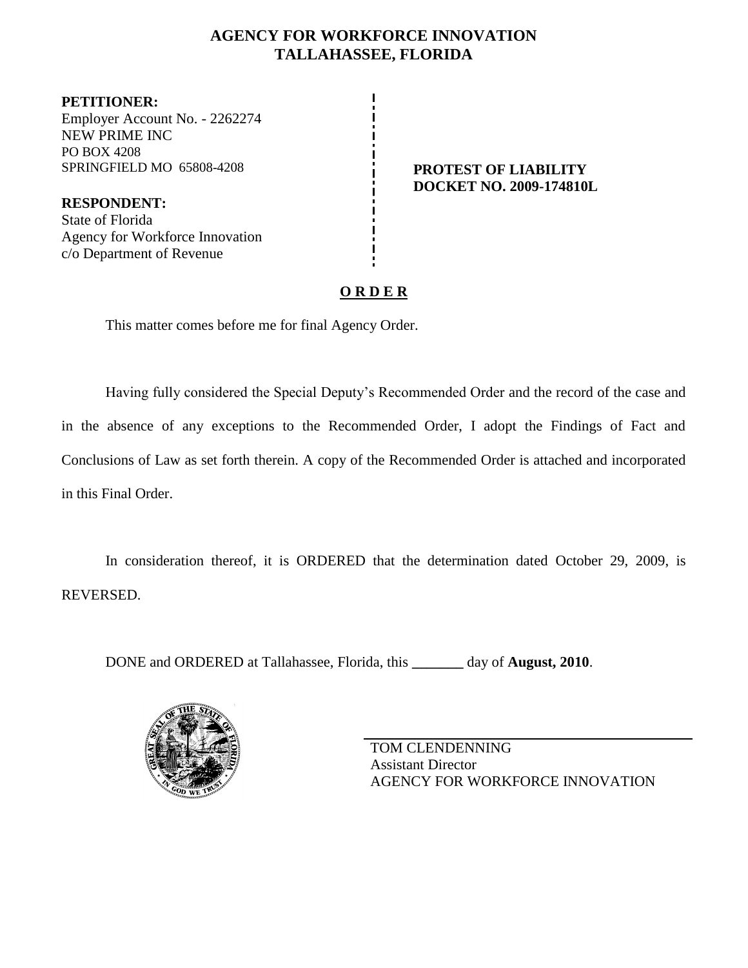### **AGENCY FOR WORKFORCE INNOVATION TALLAHASSEE, FLORIDA**

**PETITIONER:** Employer Account No. - 2262274 NEW PRIME INC PO BOX 4208 SPRINGFIELD MO 65808-4208 **PROTEST OF LIABILITY** 

**RESPONDENT:** State of Florida Agency for Workforce Innovation c/o Department of Revenue

# **DOCKET NO. 2009-174810L**

### **O R D E R**

This matter comes before me for final Agency Order.

Having fully considered the Special Deputy's Recommended Order and the record of the case and in the absence of any exceptions to the Recommended Order, I adopt the Findings of Fact and Conclusions of Law as set forth therein. A copy of the Recommended Order is attached and incorporated in this Final Order.

In consideration thereof, it is ORDERED that the determination dated October 29, 2009, is REVERSED.

DONE and ORDERED at Tallahassee, Florida, this **\_\_\_\_\_\_\_** day of **August, 2010**.



TOM CLENDENNING Assistant Director AGENCY FOR WORKFORCE INNOVATION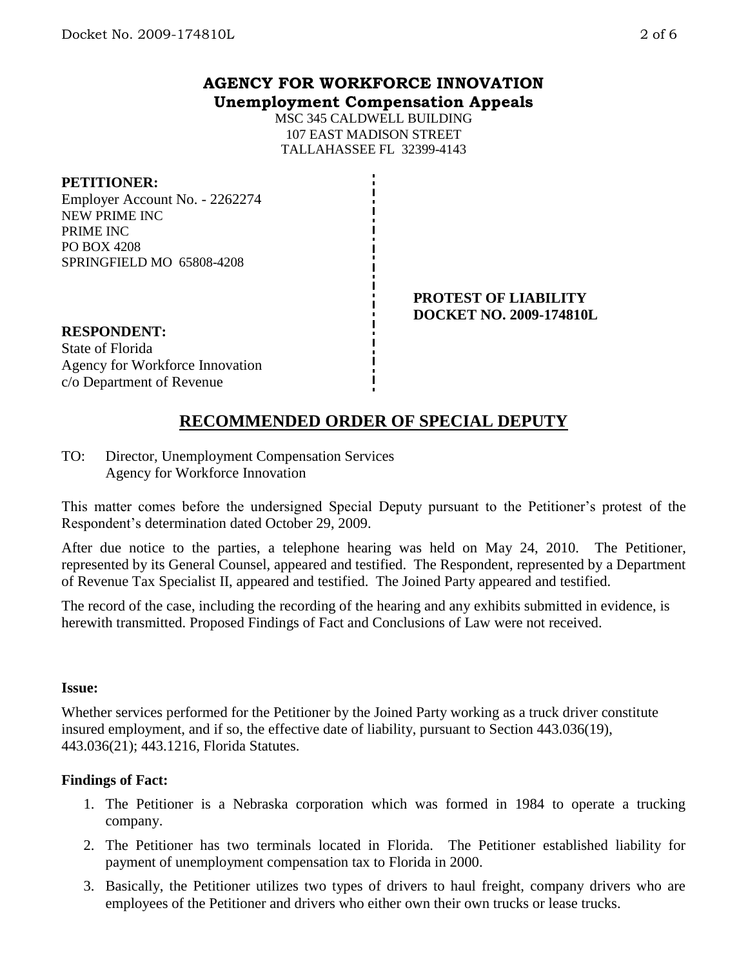MSC 345 CALDWELL BUILDING 107 EAST MADISON STREET TALLAHASSEE FL 32399-4143

#### **PETITIONER:**

Employer Account No. - 2262274 NEW PRIME INC PRIME INC PO BOX 4208 SPRINGFIELD MO 65808-4208

#### **PROTEST OF LIABILITY DOCKET NO. 2009-174810L**

## **RESPONDENT:** State of Florida

### Agency for Workforce Innovation c/o Department of Revenue

### **RECOMMENDED ORDER OF SPECIAL DEPUTY**

TO: Director, Unemployment Compensation Services Agency for Workforce Innovation

This matter comes before the undersigned Special Deputy pursuant to the Petitioner's protest of the Respondent's determination dated October 29, 2009.

After due notice to the parties, a telephone hearing was held on May 24, 2010. The Petitioner, represented by its General Counsel, appeared and testified. The Respondent, represented by a Department of Revenue Tax Specialist II, appeared and testified. The Joined Party appeared and testified.

The record of the case, including the recording of the hearing and any exhibits submitted in evidence, is herewith transmitted. Proposed Findings of Fact and Conclusions of Law were not received.

### **Issue:**

Whether services performed for the Petitioner by the Joined Party working as a truck driver constitute insured employment, and if so, the effective date of liability, pursuant to Section 443.036(19), 443.036(21); 443.1216, Florida Statutes.

### **Findings of Fact:**

- 1. The Petitioner is a Nebraska corporation which was formed in 1984 to operate a trucking company.
- 2. The Petitioner has two terminals located in Florida. The Petitioner established liability for payment of unemployment compensation tax to Florida in 2000.
- 3. Basically, the Petitioner utilizes two types of drivers to haul freight, company drivers who are employees of the Petitioner and drivers who either own their own trucks or lease trucks.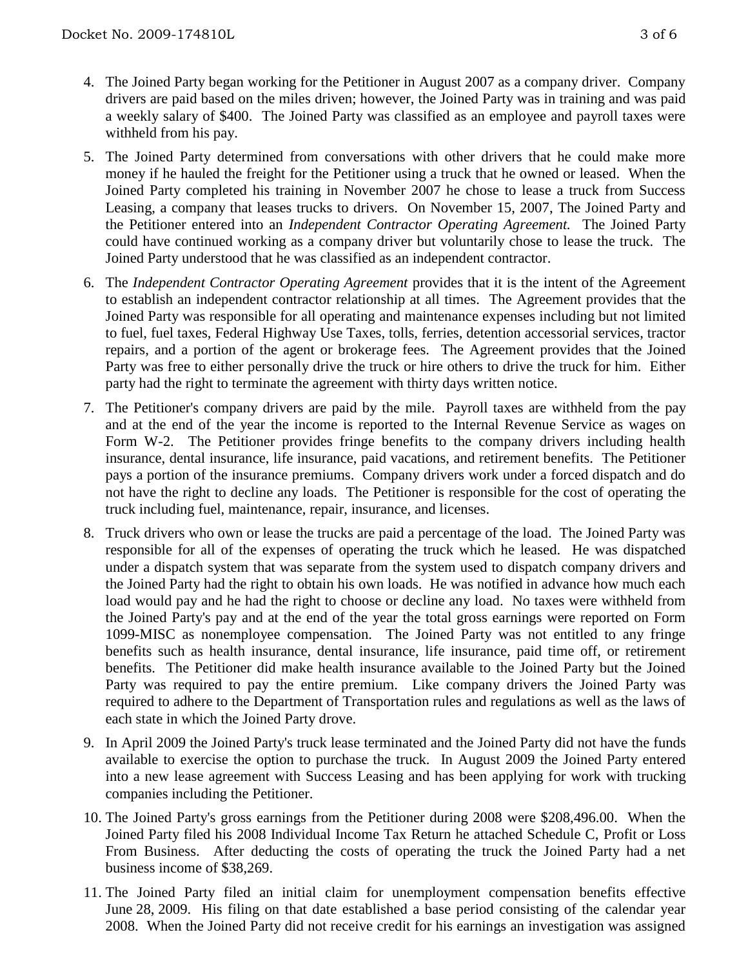- 
- 4. The Joined Party began working for the Petitioner in August 2007 as a company driver. Company drivers are paid based on the miles driven; however, the Joined Party was in training and was paid a weekly salary of \$400. The Joined Party was classified as an employee and payroll taxes were withheld from his pay.
- 5. The Joined Party determined from conversations with other drivers that he could make more money if he hauled the freight for the Petitioner using a truck that he owned or leased. When the Joined Party completed his training in November 2007 he chose to lease a truck from Success Leasing, a company that leases trucks to drivers. On November 15, 2007, The Joined Party and the Petitioner entered into an *Independent Contractor Operating Agreement.* The Joined Party could have continued working as a company driver but voluntarily chose to lease the truck. The Joined Party understood that he was classified as an independent contractor.
- 6. The *Independent Contractor Operating Agreement* provides that it is the intent of the Agreement to establish an independent contractor relationship at all times. The Agreement provides that the Joined Party was responsible for all operating and maintenance expenses including but not limited to fuel, fuel taxes, Federal Highway Use Taxes, tolls, ferries, detention accessorial services, tractor repairs, and a portion of the agent or brokerage fees. The Agreement provides that the Joined Party was free to either personally drive the truck or hire others to drive the truck for him. Either party had the right to terminate the agreement with thirty days written notice.
- 7. The Petitioner's company drivers are paid by the mile. Payroll taxes are withheld from the pay and at the end of the year the income is reported to the Internal Revenue Service as wages on Form W-2. The Petitioner provides fringe benefits to the company drivers including health insurance, dental insurance, life insurance, paid vacations, and retirement benefits. The Petitioner pays a portion of the insurance premiums. Company drivers work under a forced dispatch and do not have the right to decline any loads. The Petitioner is responsible for the cost of operating the truck including fuel, maintenance, repair, insurance, and licenses.
- 8. Truck drivers who own or lease the trucks are paid a percentage of the load. The Joined Party was responsible for all of the expenses of operating the truck which he leased. He was dispatched under a dispatch system that was separate from the system used to dispatch company drivers and the Joined Party had the right to obtain his own loads. He was notified in advance how much each load would pay and he had the right to choose or decline any load. No taxes were withheld from the Joined Party's pay and at the end of the year the total gross earnings were reported on Form 1099-MISC as nonemployee compensation. The Joined Party was not entitled to any fringe benefits such as health insurance, dental insurance, life insurance, paid time off, or retirement benefits. The Petitioner did make health insurance available to the Joined Party but the Joined Party was required to pay the entire premium. Like company drivers the Joined Party was required to adhere to the Department of Transportation rules and regulations as well as the laws of each state in which the Joined Party drove.
- 9. In April 2009 the Joined Party's truck lease terminated and the Joined Party did not have the funds available to exercise the option to purchase the truck. In August 2009 the Joined Party entered into a new lease agreement with Success Leasing and has been applying for work with trucking companies including the Petitioner.
- 10. The Joined Party's gross earnings from the Petitioner during 2008 were \$208,496.00. When the Joined Party filed his 2008 Individual Income Tax Return he attached Schedule C, Profit or Loss From Business. After deducting the costs of operating the truck the Joined Party had a net business income of \$38,269.
- 11. The Joined Party filed an initial claim for unemployment compensation benefits effective June 28, 2009. His filing on that date established a base period consisting of the calendar year 2008. When the Joined Party did not receive credit for his earnings an investigation was assigned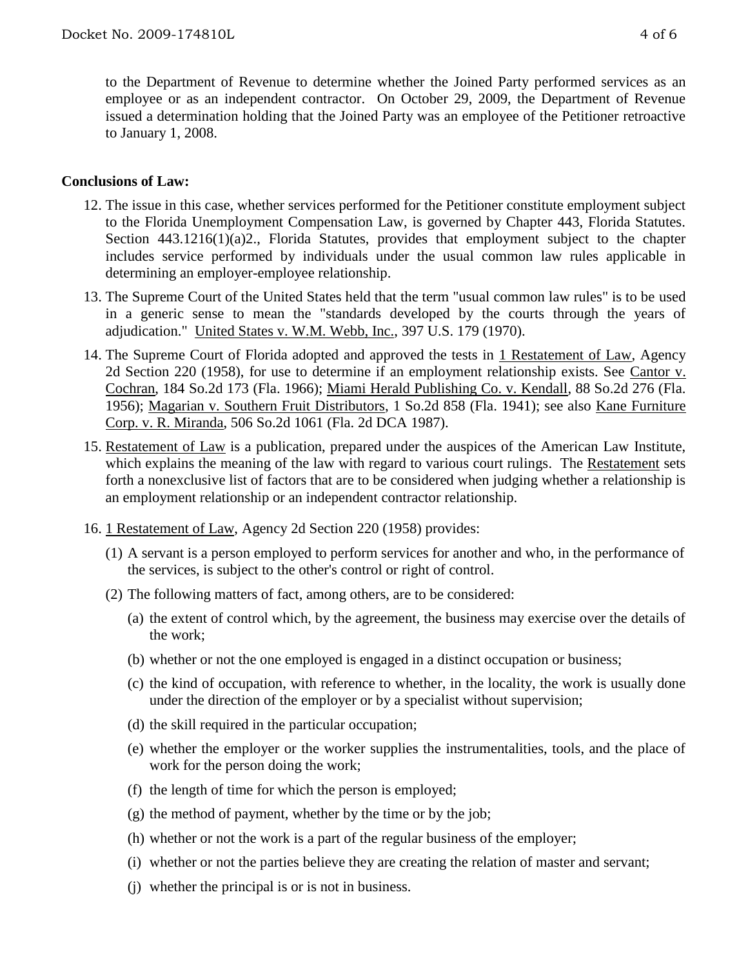to the Department of Revenue to determine whether the Joined Party performed services as an employee or as an independent contractor. On October 29, 2009, the Department of Revenue issued a determination holding that the Joined Party was an employee of the Petitioner retroactive to January 1, 2008.

### **Conclusions of Law:**

- 12. The issue in this case, whether services performed for the Petitioner constitute employment subject to the Florida Unemployment Compensation Law, is governed by Chapter 443, Florida Statutes. Section 443.1216(1)(a)2., Florida Statutes, provides that employment subject to the chapter includes service performed by individuals under the usual common law rules applicable in determining an employer-employee relationship.
- 13. The Supreme Court of the United States held that the term "usual common law rules" is to be used in a generic sense to mean the "standards developed by the courts through the years of adjudication." United States v. W.M. Webb, Inc., 397 U.S. 179 (1970).
- 14. The Supreme Court of Florida adopted and approved the tests in 1 Restatement of Law, Agency 2d Section 220 (1958), for use to determine if an employment relationship exists. See Cantor v. Cochran, 184 So.2d 173 (Fla. 1966); Miami Herald Publishing Co. v. Kendall, 88 So.2d 276 (Fla. 1956); Magarian v. Southern Fruit Distributors, 1 So.2d 858 (Fla. 1941); see also Kane Furniture Corp. v. R. Miranda, 506 So.2d 1061 (Fla. 2d DCA 1987).
- 15. Restatement of Law is a publication, prepared under the auspices of the American Law Institute, which explains the meaning of the law with regard to various court rulings. The Restatement sets forth a nonexclusive list of factors that are to be considered when judging whether a relationship is an employment relationship or an independent contractor relationship.
- 16. 1 Restatement of Law, Agency 2d Section 220 (1958) provides:
	- (1) A servant is a person employed to perform services for another and who, in the performance of the services, is subject to the other's control or right of control.
	- (2) The following matters of fact, among others, are to be considered:
		- (a) the extent of control which, by the agreement, the business may exercise over the details of the work;
		- (b) whether or not the one employed is engaged in a distinct occupation or business;
		- (c) the kind of occupation, with reference to whether, in the locality, the work is usually done under the direction of the employer or by a specialist without supervision;
		- (d) the skill required in the particular occupation;
		- (e) whether the employer or the worker supplies the instrumentalities, tools, and the place of work for the person doing the work;
		- (f) the length of time for which the person is employed;
		- $(g)$  the method of payment, whether by the time or by the job;
		- (h) whether or not the work is a part of the regular business of the employer;
		- (i) whether or not the parties believe they are creating the relation of master and servant;
		- (j) whether the principal is or is not in business.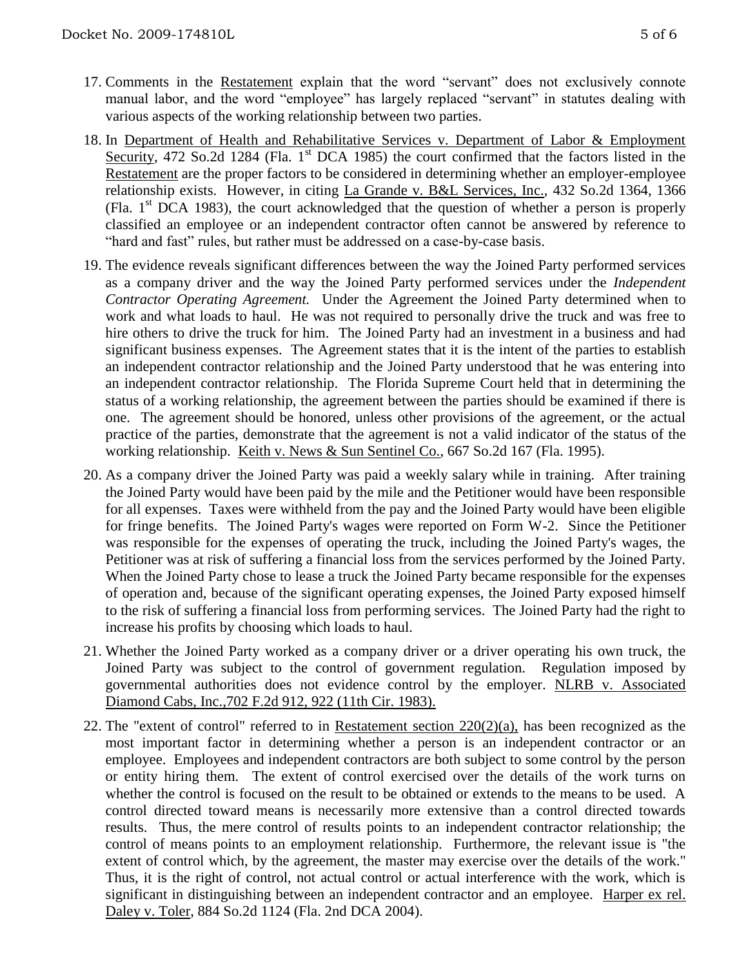- 17. Comments in the Restatement explain that the word "servant" does not exclusively connote manual labor, and the word "employee" has largely replaced "servant" in statutes dealing with various aspects of the working relationship between two parties.
- 18. In Department of Health and Rehabilitative Services v. Department of Labor & Employment Security, 472 So.2d 1284 (Fla. 1<sup>st</sup> DCA 1985) the court confirmed that the factors listed in the Restatement are the proper factors to be considered in determining whether an employer-employee relationship exists. However, in citing La Grande v. B&L Services, Inc., 432 So.2d 1364, 1366 (Fla.  $1<sup>st</sup>$  DCA 1983), the court acknowledged that the question of whether a person is properly classified an employee or an independent contractor often cannot be answered by reference to "hard and fast" rules, but rather must be addressed on a case-by-case basis.
- 19. The evidence reveals significant differences between the way the Joined Party performed services as a company driver and the way the Joined Party performed services under the *Independent Contractor Operating Agreement.* Under the Agreement the Joined Party determined when to work and what loads to haul. He was not required to personally drive the truck and was free to hire others to drive the truck for him. The Joined Party had an investment in a business and had significant business expenses. The Agreement states that it is the intent of the parties to establish an independent contractor relationship and the Joined Party understood that he was entering into an independent contractor relationship. The Florida Supreme Court held that in determining the status of a working relationship, the agreement between the parties should be examined if there is one. The agreement should be honored, unless other provisions of the agreement, or the actual practice of the parties, demonstrate that the agreement is not a valid indicator of the status of the working relationship. Keith v. News & Sun Sentinel Co., 667 So.2d 167 (Fla. 1995).
- 20. As a company driver the Joined Party was paid a weekly salary while in training. After training the Joined Party would have been paid by the mile and the Petitioner would have been responsible for all expenses. Taxes were withheld from the pay and the Joined Party would have been eligible for fringe benefits. The Joined Party's wages were reported on Form W-2. Since the Petitioner was responsible for the expenses of operating the truck, including the Joined Party's wages, the Petitioner was at risk of suffering a financial loss from the services performed by the Joined Party. When the Joined Party chose to lease a truck the Joined Party became responsible for the expenses of operation and, because of the significant operating expenses, the Joined Party exposed himself to the risk of suffering a financial loss from performing services. The Joined Party had the right to increase his profits by choosing which loads to haul.
- 21. Whether the Joined Party worked as a company driver or a driver operating his own truck, the Joined Party was subject to the control of government regulation. Regulation imposed by governmental authorities does not evidence control by the employer. NLRB v. Associated Diamond Cabs, Inc.,702 F.2d 912, 922 (11th Cir. 1983).
- 22. The "extent of control" referred to in Restatement section 220(2)(a), has been recognized as the most important factor in determining whether a person is an independent contractor or an employee. Employees and independent contractors are both subject to some control by the person or entity hiring them. The extent of control exercised over the details of the work turns on whether the control is focused on the result to be obtained or extends to the means to be used. A control directed toward means is necessarily more extensive than a control directed towards results. Thus, the mere control of results points to an independent contractor relationship; the control of means points to an employment relationship. Furthermore, the relevant issue is "the extent of control which, by the agreement, the master may exercise over the details of the work." Thus, it is the right of control, not actual control or actual interference with the work, which is significant in distinguishing between an independent contractor and an employee. Harper ex rel. Daley v. Toler, 884 So.2d 1124 (Fla. 2nd DCA 2004).